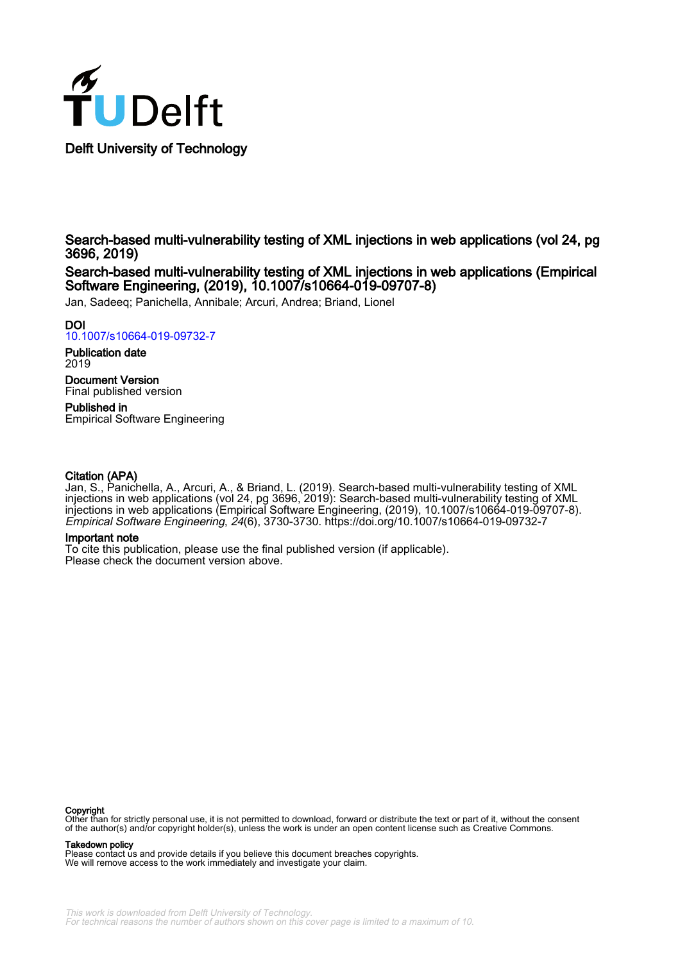

Search-based multi-vulnerability testing of XML injections in web applications (vol 24, pg 3696, 2019)

Search-based multi-vulnerability testing of XML injections in web applications (Empirical Software Engineering, (2019), 10.1007/s10664-019-09707-8)

Jan, Sadeeq; Panichella, Annibale; Arcuri, Andrea; Briand, Lionel

## DOI

[10.1007/s10664-019-09732-7](https://doi.org/10.1007/s10664-019-09732-7)

Publication date 2019

Document Version Final published version

Published in Empirical Software Engineering

## Citation (APA)

Jan, S., Panichella, A., Arcuri, A., & Briand, L. (2019). Search-based multi-vulnerability testing of XML injections in web applications (vol 24, pg 3696, 2019): Search-based multi-vulnerability testing of XML injections in web applications (Empirical Software Engineering, (2019), 10.1007/s10664-019-09707-8). Empirical Software Engineering, 24(6), 3730-3730.<https://doi.org/10.1007/s10664-019-09732-7>

#### Important note

To cite this publication, please use the final published version (if applicable). Please check the document version above.

#### Copyright

Other than for strictly personal use, it is not permitted to download, forward or distribute the text or part of it, without the consent of the author(s) and/or copyright holder(s), unless the work is under an open content license such as Creative Commons.

#### Takedown policy

Please contact us and provide details if you believe this document breaches copyrights. We will remove access to the work immediately and investigate your claim.